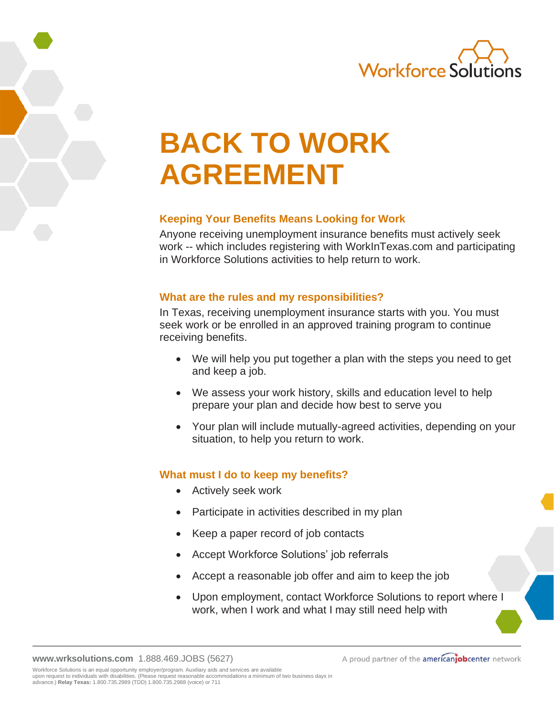

# **BACK TO WORK AGREEMENT**

# **Keeping Your Benefits Means Looking for Work**

Anyone receiving unemployment insurance benefits must actively seek work -- which includes registering with WorkInTexas.com and participating in Workforce Solutions activities to help return to work.

### **What are the rules and my responsibilities?**

In Texas, receiving unemployment insurance starts with you. You must seek work or be enrolled in an approved training program to continue receiving benefits.

- We will help you put together a plan with the steps you need to get and keep a job.
- We assess your work history, skills and education level to help prepare your plan and decide how best to serve you
- Your plan will include mutually-agreed activities, depending on your situation, to help you return to work.

# **What must I do to keep my benefits?**

- Actively seek work
- Participate in activities described in my plan
- Keep a paper record of job contacts
- Accept Workforce Solutions' job referrals
- Accept a reasonable job offer and aim to keep the job
- Upon employment, contact Workforce Solutions to report where I work, when I work and what I may still need help with

**[www.wrksolutions.com](http://www.wrksolutions.com/)** 1.888.469.JOBS (5627)